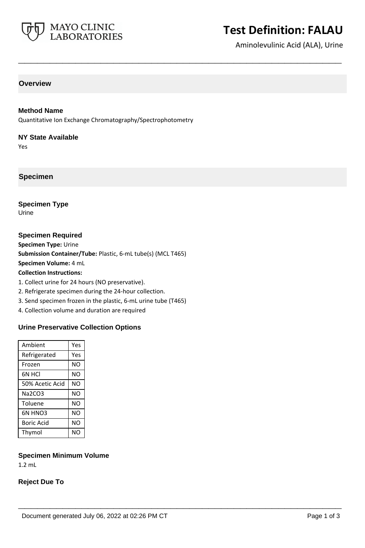

# **Test Definition: FALAU**

Aminolevulinic Acid (ALA), Urine

# **Overview**

#### **Method Name**

Quantitative Ion Exchange Chromatography/Spectrophotometry

**\_\_\_\_\_\_\_\_\_\_\_\_\_\_\_\_\_\_\_\_\_\_\_\_\_\_\_\_\_\_\_\_\_\_\_\_\_\_\_\_\_\_\_\_\_\_\_\_\_\_\_**

#### **NY State Available**

Yes

**Specimen**

## **Specimen Type**

Urine

#### **Specimen Required**

**Specimen Type:** Urine

**Submission Container/Tube:** Plastic, 6-mL tube(s) (MCL T465)

**Specimen Volume:** 4 mL

**Collection Instructions:**

- 1. Collect urine for 24 hours (NO preservative).
- 2. Refrigerate specimen during the 24-hour collection.
- 3. Send specimen frozen in the plastic, 6-mL urine tube (T465)
- 4. Collection volume and duration are required

#### **Urine Preservative Collection Options**

| Ambient           | Yes |
|-------------------|-----|
| Refrigerated      | Yes |
| Frozen            | NΟ  |
| 6N HCI            | NΟ  |
| 50% Acetic Acid   | NΟ  |
| Na2CO3            | NΟ  |
| Toluene           | NΟ  |
| 6N HNO3           | NΟ  |
| <b>Boric Acid</b> | NΟ  |
| Thymol            | NΟ  |
|                   |     |

#### **Specimen Minimum Volume**

1.2 mL

## **Reject Due To**

**\_\_\_\_\_\_\_\_\_\_\_\_\_\_\_\_\_\_\_\_\_\_\_\_\_\_\_\_\_\_\_\_\_\_\_\_\_\_\_\_\_\_\_\_\_\_\_\_\_\_\_**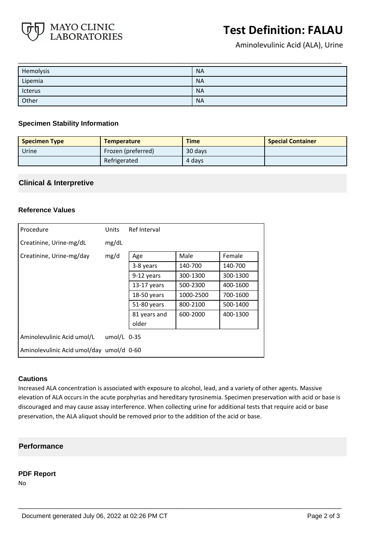

# **Test Definition: FALAU**

Aminolevulinic Acid (ALA), Urine

| Hemolysis         | <b>NA</b> |
|-------------------|-----------|
| ______<br>Lipemia | <b>NA</b> |
| —<br>Icterus      | <b>NA</b> |
| ____<br>Other     | <b>NA</b> |

#### **Specimen Stability Information**

| <b>Specimen Type</b> | <b>Temperature</b> | <b>Time</b> | <b>Special Container</b> |
|----------------------|--------------------|-------------|--------------------------|
| Urine                | Frozen (preferred) | 30 days     |                          |
|                      | Refrigerated       | 4 days      |                          |

# **Clinical & Interpretive**

#### **Reference Values**

| Procedure                                | Units         | Ref Interval  |           |          |
|------------------------------------------|---------------|---------------|-----------|----------|
| Creatinine, Urine-mg/dL                  | mg/dL         |               |           |          |
| Creatinine, Urine-mg/day                 | mg/d          | Age           | Male      | Female   |
|                                          |               | 3-8 years     | 140-700   | 140-700  |
|                                          |               | 9-12 years    | 300-1300  | 300-1300 |
|                                          |               | $13-17$ years | 500-2300  | 400-1600 |
|                                          |               | $18-50$ years | 1000-2500 | 700-1600 |
|                                          |               | 51-80 years   | 800-2100  | 500-1400 |
|                                          |               | 81 years and  | 600-2000  | 400-1300 |
|                                          |               | older         |           |          |
| Aminolevulinic Acid umol/L               | umol/L $0-35$ |               |           |          |
| Aminolevulinic Acid umol/day umol/d 0-60 |               |               |           |          |

#### **Cautions**

Increased ALA concentration is associated with exposure to alcohol, lead, and a variety of other agents. Massive elevation of ALA occurs in the acute porphyrias and hereditary tyrosinemia. Specimen preservation with acid or base is discouraged and may cause assay interference. When collecting urine for additional tests that require acid or base preservation, the ALA aliquot should be removed prior to the addition of the acid or base.

**\_\_\_\_\_\_\_\_\_\_\_\_\_\_\_\_\_\_\_\_\_\_\_\_\_\_\_\_\_\_\_\_\_\_\_\_\_\_\_\_\_\_\_\_\_\_\_\_\_\_\_**

#### **Performance**

#### **PDF Report**

No